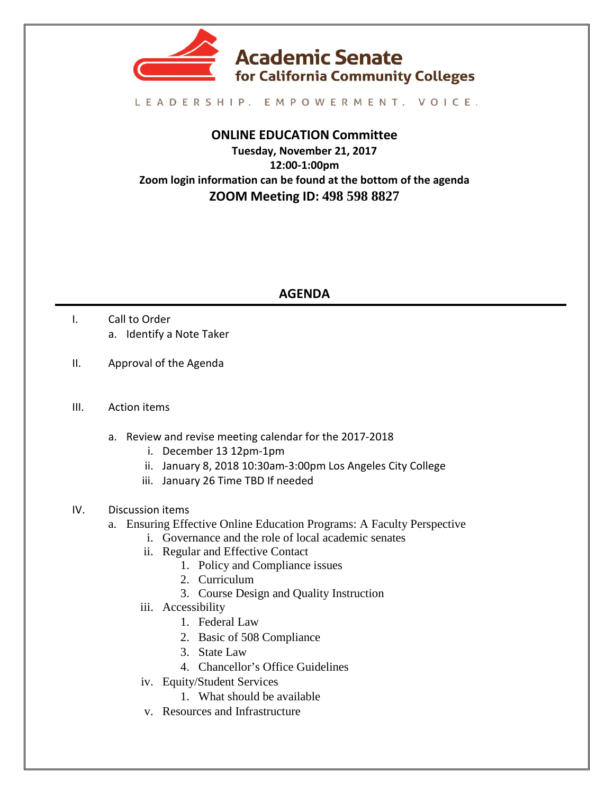

## LEADERSHIP. EMPOWERMENT. VOICE.

## **ONLINE EDUCATION Committee**

**Tuesday, November 21, 2017 12:00-1:00pm Zoom login information can be found at the bottom of the agenda ZOOM Meeting ID: 498 598 8827**

## **AGENDA**

- I. Call to Order a. Identify a Note Taker
- II. Approval of the Agenda
- III. Action items
	- a. Review and revise meeting calendar for the 2017-2018
		- i. December 13 12pm-1pm
		- ii. January 8, 2018 10:30am-3:00pm Los Angeles City College
		- iii. January 26 Time TBD If needed
- IV. Discussion items
	- a. Ensuring Effective Online Education Programs: A Faculty Perspective
		- i. Governance and the role of local academic senates
		- ii. Regular and Effective Contact
			- 1. Policy and Compliance issues
			- 2. Curriculum
			- 3. Course Design and Quality Instruction
		- iii. Accessibility
			- 1. Federal Law
			- 2. Basic of 508 Compliance
			- 3. State Law
			- 4. Chancellor's Office Guidelines
		- iv. Equity/Student Services
			- 1. What should be available
		- v. Resources and Infrastructure